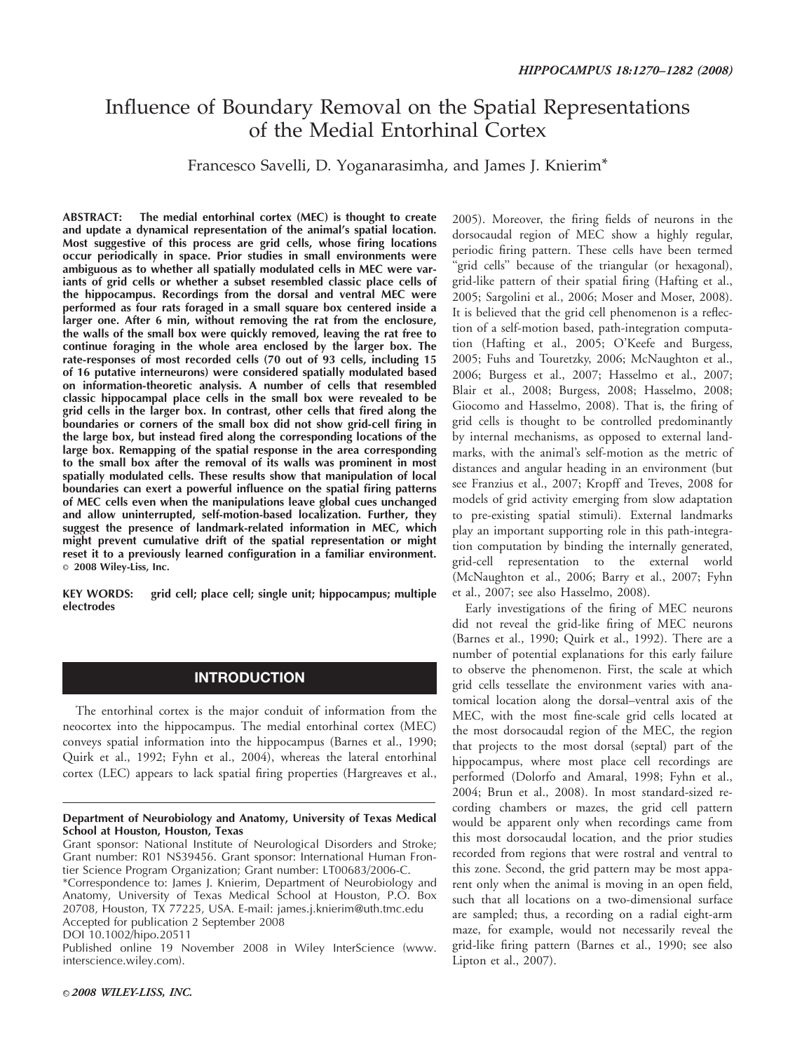# Influence of Boundary Removal on the Spatial Representations of the Medial Entorhinal Cortex

Francesco Savelli, D. Yoganarasimha, and James J. Knierim\*

ABSTRACT: The medial entorhinal cortex (MEC) is thought to create and update a dynamical representation of the animal's spatial location. Most suggestive of this process are grid cells, whose firing locations occur periodically in space. Prior studies in small environments were ambiguous as to whether all spatially modulated cells in MEC were variants of grid cells or whether a subset resembled classic place cells of the hippocampus. Recordings from the dorsal and ventral MEC were performed as four rats foraged in a small square box centered inside a larger one. After 6 min, without removing the rat from the enclosure, the walls of the small box were quickly removed, leaving the rat free to continue foraging in the whole area enclosed by the larger box. The rate-responses of most recorded cells (70 out of 93 cells, including 15 of 16 putative interneurons) were considered spatially modulated based on information-theoretic analysis. A number of cells that resembled classic hippocampal place cells in the small box were revealed to be grid cells in the larger box. In contrast, other cells that fired along the boundaries or corners of the small box did not show grid-cell firing in the large box, but instead fired along the corresponding locations of the large box. Remapping of the spatial response in the area corresponding to the small box after the removal of its walls was prominent in most spatially modulated cells. These results show that manipulation of local boundaries can exert a powerful influence on the spatial firing patterns of MEC cells even when the manipulations leave global cues unchanged and allow uninterrupted, self-motion-based localization. Further, they suggest the presence of landmark-related information in MEC, which might prevent cumulative drift of the spatial representation or might reset it to a previously learned configuration in a familiar environment.  $\circ$  2008 Wiley-Liss, Inc.

KEY WORDS: grid cell; place cell; single unit; hippocampus; multiple electrodes

## INTRODUCTION

The entorhinal cortex is the major conduit of information from the neocortex into the hippocampus. The medial entorhinal cortex (MEC) conveys spatial information into the hippocampus (Barnes et al., 1990; Quirk et al., 1992; Fyhn et al., 2004), whereas the lateral entorhinal cortex (LEC) appears to lack spatial firing properties (Hargreaves et al., 2005). Moreover, the firing fields of neurons in the dorsocaudal region of MEC show a highly regular, periodic firing pattern. These cells have been termed 'grid cells" because of the triangular (or hexagonal), grid-like pattern of their spatial firing (Hafting et al., 2005; Sargolini et al., 2006; Moser and Moser, 2008). It is believed that the grid cell phenomenon is a reflection of a self-motion based, path-integration computation (Hafting et al., 2005; O'Keefe and Burgess, 2005; Fuhs and Touretzky, 2006; McNaughton et al., 2006; Burgess et al., 2007; Hasselmo et al., 2007; Blair et al., 2008; Burgess, 2008; Hasselmo, 2008; Giocomo and Hasselmo, 2008). That is, the firing of grid cells is thought to be controlled predominantly by internal mechanisms, as opposed to external landmarks, with the animal's self-motion as the metric of distances and angular heading in an environment (but see Franzius et al., 2007; Kropff and Treves, 2008 for models of grid activity emerging from slow adaptation to pre-existing spatial stimuli). External landmarks play an important supporting role in this path-integration computation by binding the internally generated, grid-cell representation to the external world (McNaughton et al., 2006; Barry et al., 2007; Fyhn et al., 2007; see also Hasselmo, 2008).

Early investigations of the firing of MEC neurons did not reveal the grid-like firing of MEC neurons (Barnes et al., 1990; Quirk et al., 1992). There are a number of potential explanations for this early failure to observe the phenomenon. First, the scale at which grid cells tessellate the environment varies with anatomical location along the dorsal–ventral axis of the MEC, with the most fine-scale grid cells located at the most dorsocaudal region of the MEC, the region that projects to the most dorsal (septal) part of the hippocampus, where most place cell recordings are performed (Dolorfo and Amaral, 1998; Fyhn et al., 2004; Brun et al., 2008). In most standard-sized recording chambers or mazes, the grid cell pattern would be apparent only when recordings came from this most dorsocaudal location, and the prior studies recorded from regions that were rostral and ventral to this zone. Second, the grid pattern may be most apparent only when the animal is moving in an open field, such that all locations on a two-dimensional surface are sampled; thus, a recording on a radial eight-arm maze, for example, would not necessarily reveal the grid-like firing pattern (Barnes et al., 1990; see also Lipton et al., 2007).

Department of Neurobiology and Anatomy, University of Texas Medical School at Houston, Houston, Texas

Grant sponsor: National Institute of Neurological Disorders and Stroke; Grant number: R01 NS39456. Grant sponsor: International Human Frontier Science Program Organization; Grant number: LT00683/2006-C.

<sup>\*</sup>Correspondence to: James J. Knierim, Department of Neurobiology and Anatomy, University of Texas Medical School at Houston, P.O. Box 20708, Houston, TX 77225, USA. E-mail: james.j.knierim@uth.tmc.edu Accepted for publication 2 September 2008

DOI 10.1002/hipo.20511

Published online 19 November 2008 in Wiley InterScience (www. interscience.wiley.com).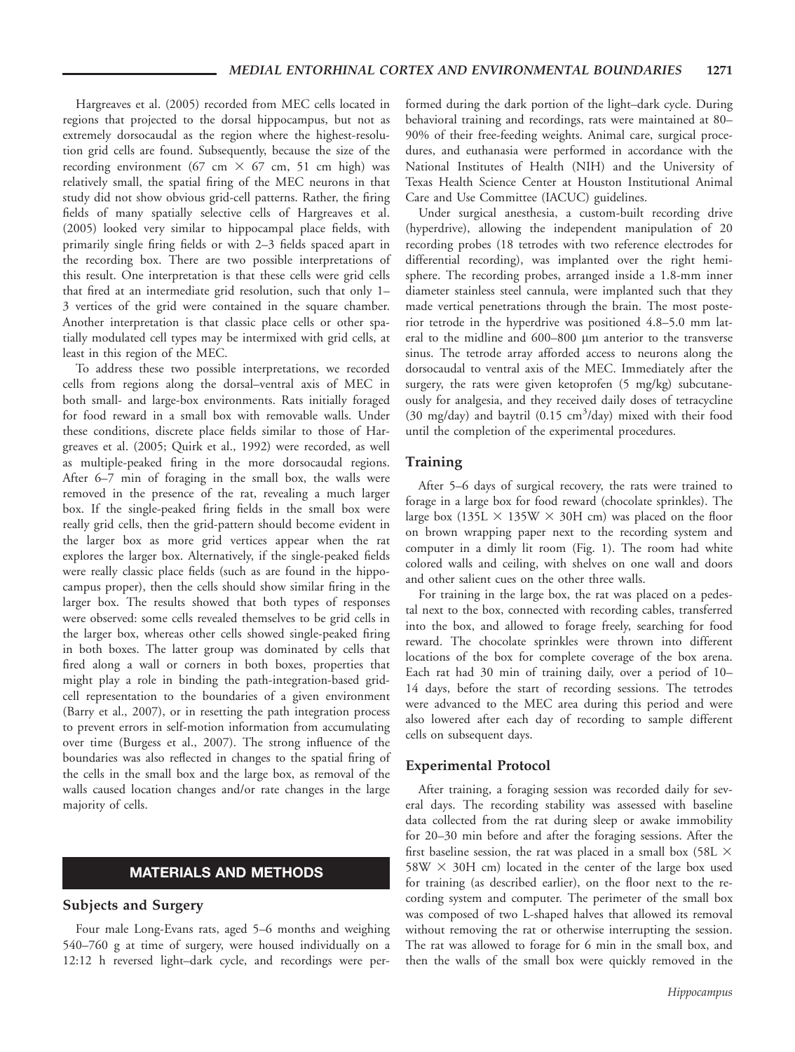Hargreaves et al. (2005) recorded from MEC cells located in regions that projected to the dorsal hippocampus, but not as extremely dorsocaudal as the region where the highest-resolution grid cells are found. Subsequently, because the size of the recording environment (67 cm  $\times$  67 cm, 51 cm high) was relatively small, the spatial firing of the MEC neurons in that study did not show obvious grid-cell patterns. Rather, the firing fields of many spatially selective cells of Hargreaves et al. (2005) looked very similar to hippocampal place fields, with primarily single firing fields or with 2–3 fields spaced apart in the recording box. There are two possible interpretations of this result. One interpretation is that these cells were grid cells that fired at an intermediate grid resolution, such that only 1– 3 vertices of the grid were contained in the square chamber. Another interpretation is that classic place cells or other spatially modulated cell types may be intermixed with grid cells, at least in this region of the MEC.

To address these two possible interpretations, we recorded cells from regions along the dorsal–ventral axis of MEC in both small- and large-box environments. Rats initially foraged for food reward in a small box with removable walls. Under these conditions, discrete place fields similar to those of Hargreaves et al. (2005; Quirk et al., 1992) were recorded, as well as multiple-peaked firing in the more dorsocaudal regions. After 6–7 min of foraging in the small box, the walls were removed in the presence of the rat, revealing a much larger box. If the single-peaked firing fields in the small box were really grid cells, then the grid-pattern should become evident in the larger box as more grid vertices appear when the rat explores the larger box. Alternatively, if the single-peaked fields were really classic place fields (such as are found in the hippocampus proper), then the cells should show similar firing in the larger box. The results showed that both types of responses were observed: some cells revealed themselves to be grid cells in the larger box, whereas other cells showed single-peaked firing in both boxes. The latter group was dominated by cells that fired along a wall or corners in both boxes, properties that might play a role in binding the path-integration-based gridcell representation to the boundaries of a given environment (Barry et al., 2007), or in resetting the path integration process to prevent errors in self-motion information from accumulating over time (Burgess et al., 2007). The strong influence of the boundaries was also reflected in changes to the spatial firing of the cells in the small box and the large box, as removal of the walls caused location changes and/or rate changes in the large majority of cells.

## MATERIALS AND METHODS

#### Subjects and Surgery

Four male Long-Evans rats, aged 5–6 months and weighing 540–760 g at time of surgery, were housed individually on a 12:12 h reversed light–dark cycle, and recordings were performed during the dark portion of the light–dark cycle. During behavioral training and recordings, rats were maintained at 80– 90% of their free-feeding weights. Animal care, surgical procedures, and euthanasia were performed in accordance with the National Institutes of Health (NIH) and the University of Texas Health Science Center at Houston Institutional Animal Care and Use Committee (IACUC) guidelines.

Under surgical anesthesia, a custom-built recording drive (hyperdrive), allowing the independent manipulation of 20 recording probes (18 tetrodes with two reference electrodes for differential recording), was implanted over the right hemisphere. The recording probes, arranged inside a 1.8-mm inner diameter stainless steel cannula, were implanted such that they made vertical penetrations through the brain. The most posterior tetrode in the hyperdrive was positioned 4.8–5.0 mm lateral to the midline and 600–800 µm anterior to the transverse sinus. The tetrode array afforded access to neurons along the dorsocaudal to ventral axis of the MEC. Immediately after the surgery, the rats were given ketoprofen (5 mg/kg) subcutaneously for analgesia, and they received daily doses of tetracycline (30 mg/day) and baytril (0.15 cm<sup>3</sup>/day) mixed with their food until the completion of the experimental procedures.

## **Training**

After 5–6 days of surgical recovery, the rats were trained to forage in a large box for food reward (chocolate sprinkles). The large box (135L  $\times$  135W  $\times$  30H cm) was placed on the floor on brown wrapping paper next to the recording system and computer in a dimly lit room (Fig. 1). The room had white colored walls and ceiling, with shelves on one wall and doors and other salient cues on the other three walls.

For training in the large box, the rat was placed on a pedestal next to the box, connected with recording cables, transferred into the box, and allowed to forage freely, searching for food reward. The chocolate sprinkles were thrown into different locations of the box for complete coverage of the box arena. Each rat had 30 min of training daily, over a period of 10– 14 days, before the start of recording sessions. The tetrodes were advanced to the MEC area during this period and were also lowered after each day of recording to sample different cells on subsequent days.

#### Experimental Protocol

After training, a foraging session was recorded daily for several days. The recording stability was assessed with baseline data collected from the rat during sleep or awake immobility for 20–30 min before and after the foraging sessions. After the first baseline session, the rat was placed in a small box (58L  $\times$  $58W \times 30H$  cm) located in the center of the large box used for training (as described earlier), on the floor next to the recording system and computer. The perimeter of the small box was composed of two L-shaped halves that allowed its removal without removing the rat or otherwise interrupting the session. The rat was allowed to forage for 6 min in the small box, and then the walls of the small box were quickly removed in the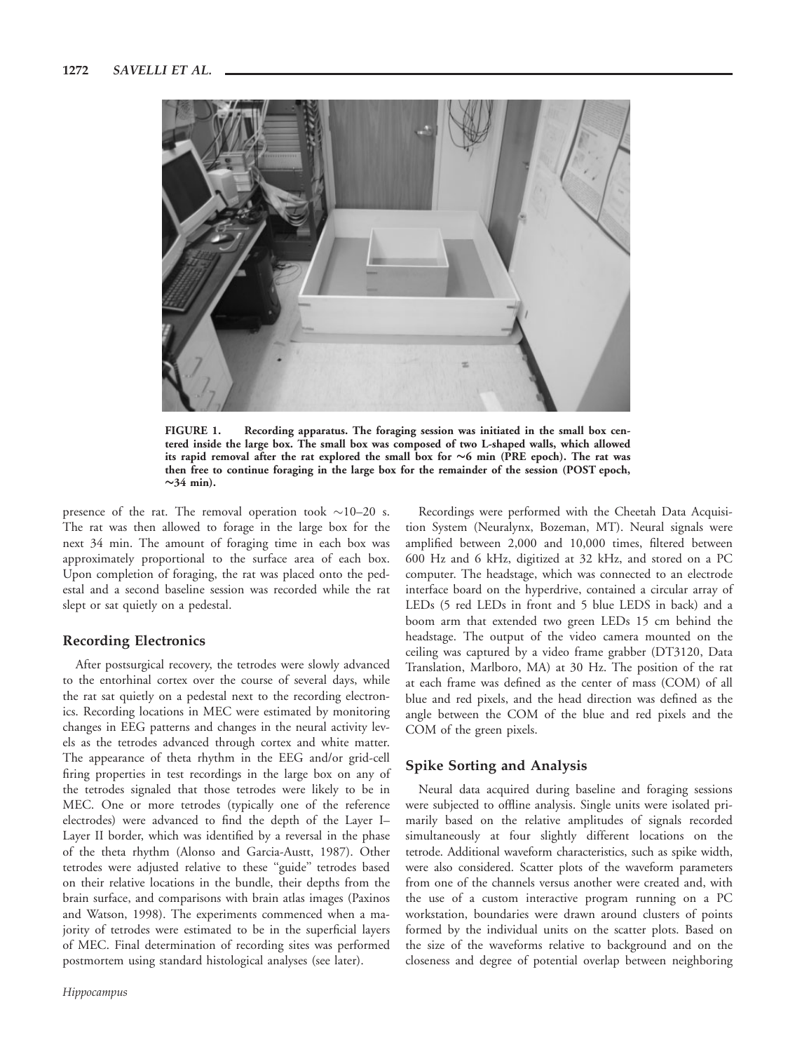

FIGURE 1. Recording apparatus. The foraging session was initiated in the small box centered inside the large box. The small box was composed of two L-shaped walls, which allowed its rapid removal after the rat explored the small box for ∼6 min (PRE epoch). The rat was then free to continue foraging in the large box for the remainder of the session (POST epoch, ∼34 min).

presence of the rat. The removal operation took  $\sim$ 10–20 s. The rat was then allowed to forage in the large box for the next 34 min. The amount of foraging time in each box was approximately proportional to the surface area of each box. Upon completion of foraging, the rat was placed onto the pedestal and a second baseline session was recorded while the rat slept or sat quietly on a pedestal.

#### Recording Electronics

After postsurgical recovery, the tetrodes were slowly advanced to the entorhinal cortex over the course of several days, while the rat sat quietly on a pedestal next to the recording electronics. Recording locations in MEC were estimated by monitoring changes in EEG patterns and changes in the neural activity levels as the tetrodes advanced through cortex and white matter. The appearance of theta rhythm in the EEG and/or grid-cell firing properties in test recordings in the large box on any of the tetrodes signaled that those tetrodes were likely to be in MEC. One or more tetrodes (typically one of the reference electrodes) were advanced to find the depth of the Layer I– Layer II border, which was identified by a reversal in the phase of the theta rhythm (Alonso and Garcia-Austt, 1987). Other tetrodes were adjusted relative to these ''guide'' tetrodes based on their relative locations in the bundle, their depths from the brain surface, and comparisons with brain atlas images (Paxinos and Watson, 1998). The experiments commenced when a majority of tetrodes were estimated to be in the superficial layers of MEC. Final determination of recording sites was performed postmortem using standard histological analyses (see later).

Recordings were performed with the Cheetah Data Acquisition System (Neuralynx, Bozeman, MT). Neural signals were amplified between 2,000 and 10,000 times, filtered between 600 Hz and 6 kHz, digitized at 32 kHz, and stored on a PC computer. The headstage, which was connected to an electrode interface board on the hyperdrive, contained a circular array of LEDs (5 red LEDs in front and 5 blue LEDS in back) and a boom arm that extended two green LEDs 15 cm behind the headstage. The output of the video camera mounted on the ceiling was captured by a video frame grabber (DT3120, Data Translation, Marlboro, MA) at 30 Hz. The position of the rat at each frame was defined as the center of mass (COM) of all blue and red pixels, and the head direction was defined as the angle between the COM of the blue and red pixels and the COM of the green pixels.

## Spike Sorting and Analysis

Neural data acquired during baseline and foraging sessions were subjected to offline analysis. Single units were isolated primarily based on the relative amplitudes of signals recorded simultaneously at four slightly different locations on the tetrode. Additional waveform characteristics, such as spike width, were also considered. Scatter plots of the waveform parameters from one of the channels versus another were created and, with the use of a custom interactive program running on a PC workstation, boundaries were drawn around clusters of points formed by the individual units on the scatter plots. Based on the size of the waveforms relative to background and on the closeness and degree of potential overlap between neighboring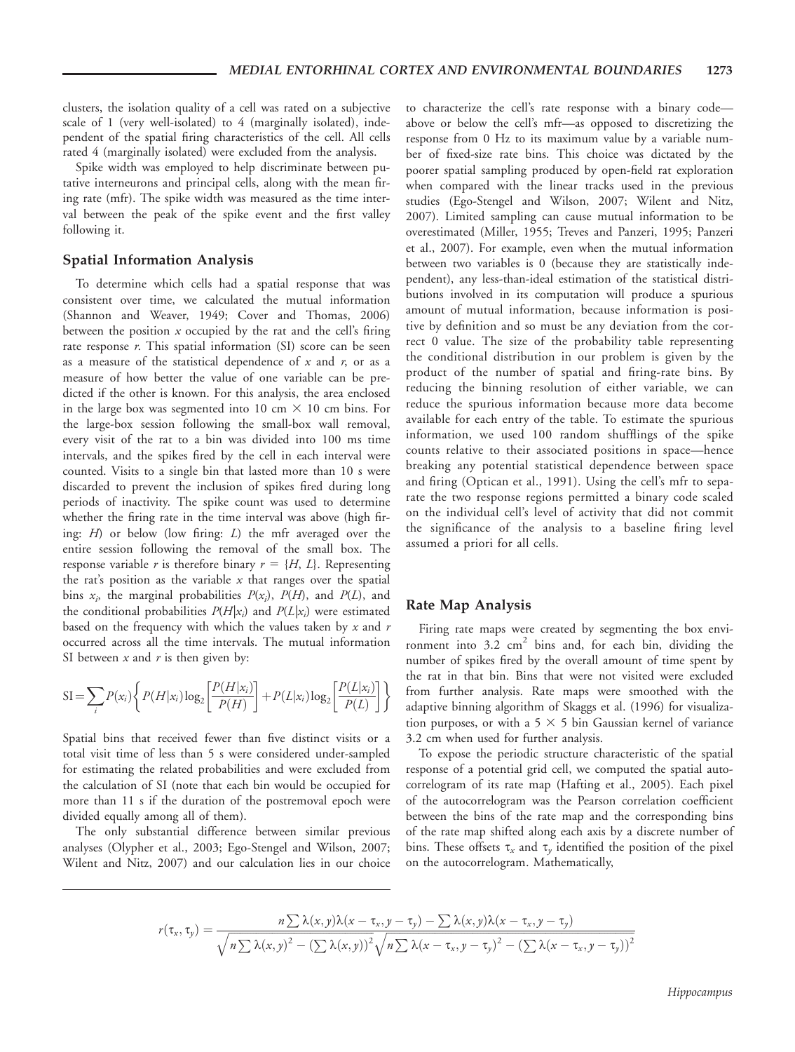clusters, the isolation quality of a cell was rated on a subjective scale of 1 (very well-isolated) to 4 (marginally isolated), independent of the spatial firing characteristics of the cell. All cells rated 4 (marginally isolated) were excluded from the analysis.

Spike width was employed to help discriminate between putative interneurons and principal cells, along with the mean firing rate (mfr). The spike width was measured as the time interval between the peak of the spike event and the first valley following it.

#### Spatial Information Analysis

To determine which cells had a spatial response that was consistent over time, we calculated the mutual information (Shannon and Weaver, 1949; Cover and Thomas, 2006) between the position  $x$  occupied by the rat and the cell's firing rate response  $r$ . This spatial information  $(SI)$  score can be seen as a measure of the statistical dependence of  $x$  and  $r$ , or as a measure of how better the value of one variable can be predicted if the other is known. For this analysis, the area enclosed in the large box was segmented into 10 cm  $\times$  10 cm bins. For the large-box session following the small-box wall removal, every visit of the rat to a bin was divided into 100 ms time intervals, and the spikes fired by the cell in each interval were counted. Visits to a single bin that lasted more than 10 s were discarded to prevent the inclusion of spikes fired during long periods of inactivity. The spike count was used to determine whether the firing rate in the time interval was above (high firing: H) or below (low firing: L) the mfr averaged over the entire session following the removal of the small box. The response variable r is therefore binary  $r = \{H, L\}$ . Representing the rat's position as the variable  $x$  that ranges over the spatial bins  $x_i$ , the marginal probabilities  $P(x_i)$ ,  $P(H)$ , and  $P(L)$ , and the conditional probabilities  $P(H|x_i)$  and  $P(L|x_i)$  were estimated based on the frequency with which the values taken by  $x$  and  $r$ occurred across all the time intervals. The mutual information SI between  $x$  and  $r$  is then given by:

$$
SI = \sum_{i} P(x_i) \left\{ P(H|x_i) \log_2 \left[ \frac{P(H|x_i)}{P(H)} \right] + P(L|x_i) \log_2 \left[ \frac{P(L|x_i)}{P(L)} \right] \right\}
$$

Spatial bins that received fewer than five distinct visits or a total visit time of less than 5 s were considered under-sampled for estimating the related probabilities and were excluded from the calculation of SI (note that each bin would be occupied for more than 11 s if the duration of the postremoval epoch were divided equally among all of them).

The only substantial difference between similar previous analyses (Olypher et al., 2003; Ego-Stengel and Wilson, 2007; Wilent and Nitz, 2007) and our calculation lies in our choice

to characterize the cell's rate response with a binary code above or below the cell's mfr—as opposed to discretizing the response from 0 Hz to its maximum value by a variable number of fixed-size rate bins. This choice was dictated by the poorer spatial sampling produced by open-field rat exploration when compared with the linear tracks used in the previous studies (Ego-Stengel and Wilson, 2007; Wilent and Nitz, 2007). Limited sampling can cause mutual information to be overestimated (Miller, 1955; Treves and Panzeri, 1995; Panzeri et al., 2007). For example, even when the mutual information between two variables is 0 (because they are statistically independent), any less-than-ideal estimation of the statistical distributions involved in its computation will produce a spurious amount of mutual information, because information is positive by definition and so must be any deviation from the correct 0 value. The size of the probability table representing the conditional distribution in our problem is given by the product of the number of spatial and firing-rate bins. By reducing the binning resolution of either variable, we can reduce the spurious information because more data become available for each entry of the table. To estimate the spurious information, we used 100 random shufflings of the spike counts relative to their associated positions in space—hence breaking any potential statistical dependence between space and firing (Optican et al., 1991). Using the cell's mfr to separate the two response regions permitted a binary code scaled on the individual cell's level of activity that did not commit the significance of the analysis to a baseline firing level assumed a priori for all cells.

#### Rate Map Analysis

Firing rate maps were created by segmenting the box environment into  $3.2 \text{ cm}^2$  bins and, for each bin, dividing the number of spikes fired by the overall amount of time spent by the rat in that bin. Bins that were not visited were excluded from further analysis. Rate maps were smoothed with the adaptive binning algorithm of Skaggs et al. (1996) for visualization purposes, or with a  $5 \times 5$  bin Gaussian kernel of variance 3.2 cm when used for further analysis.

To expose the periodic structure characteristic of the spatial response of a potential grid cell, we computed the spatial autocorrelogram of its rate map (Hafting et al., 2005). Each pixel of the autocorrelogram was the Pearson correlation coefficient between the bins of the rate map and the corresponding bins of the rate map shifted along each axis by a discrete number of bins. These offsets  $\tau_x$  and  $\tau_y$  identified the position of the pixel on the autocorrelogram. Mathematically,

$$
r(\tau_x, \tau_y) = \frac{n \sum \lambda(x, y) \lambda(x - \tau_x, y - \tau_y) - \sum \lambda(x, y) \lambda(x - \tau_x, y - \tau_y)}{\sqrt{n \sum \lambda(x, y)^2 - (\sum \lambda(x, y))^2} \sqrt{n \sum \lambda(x - \tau_x, y - \tau_y)^2 - (\sum \lambda(x - \tau_x, y - \tau_y))^2}}
$$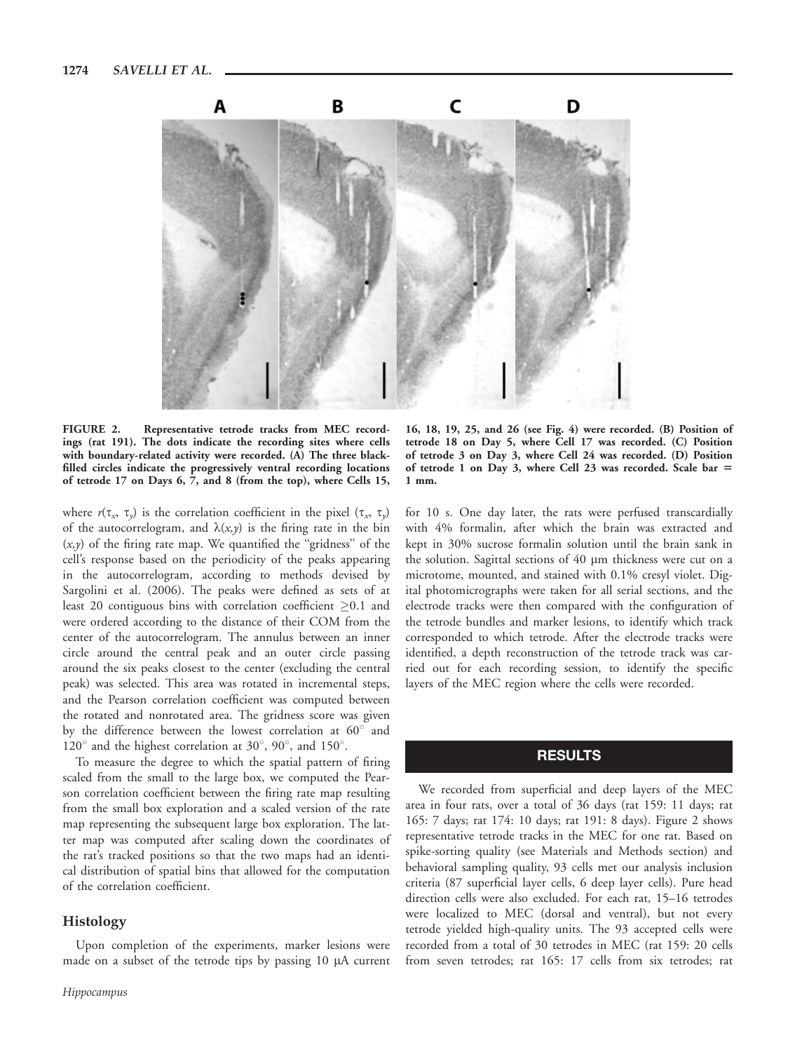

FIGURE 2. Representative tetrode tracks from MEC recordings (rat 191). The dots indicate the recording sites where cells with boundary-related activity were recorded. (A) The three blackfilled circles indicate the progressively ventral recording locations of tetrode 17 on Days 6, 7, and 8 (from the top), where Cells 15,

where  $r(\tau_x, \tau_y)$  is the correlation coefficient in the pixel  $(\tau_x, \tau_y)$ of the autocorrelogram, and  $\lambda(x, y)$  is the firing rate in the bin  $(x, y)$  of the firing rate map. We quantified the "gridness" of the cell's response based on the periodicity of the peaks appearing in the autocorrelogram, according to methods devised by Sargolini et al. (2006). The peaks were defined as sets of at least 20 contiguous bins with correlation coefficient  $\geq 0.1$  and were ordered according to the distance of their COM from the center of the autocorrelogram. The annulus between an inner circle around the central peak and an outer circle passing around the six peaks closest to the center (excluding the central peak) was selected. This area was rotated in incremental steps, and the Pearson correlation coefficient was computed between the rotated and nonrotated area. The gridness score was given by the difference between the lowest correlation at  $60^{\circ}$  and 120 $^{\circ}$  and the highest correlation at 30 $^{\circ}$ , 90 $^{\circ}$ , and 150 $^{\circ}$ .

To measure the degree to which the spatial pattern of firing scaled from the small to the large box, we computed the Pearson correlation coefficient between the firing rate map resulting from the small box exploration and a scaled version of the rate map representing the subsequent large box exploration. The latter map was computed after scaling down the coordinates of the rat's tracked positions so that the two maps had an identical distribution of spatial bins that allowed for the computation of the correlation coefficient.

#### Histology

Upon completion of the experiments, marker lesions were made on a subset of the tetrode tips by passing  $10 \mu A$  current

16, 18, 19, 25, and 26 (see Fig. 4) were recorded. (B) Position of tetrode 18 on Day 5, where Cell 17 was recorded. (C) Position of tetrode 3 on Day 3, where Cell 24 was recorded. (D) Position of tetrode 1 on Day 3, where Cell 23 was recorded. Scale bar  $=$ 1 mm.

for 10 s. One day later, the rats were perfused transcardially with 4% formalin, after which the brain was extracted and kept in 30% sucrose formalin solution until the brain sank in the solution. Sagittal sections of 40 µm thickness were cut on a microtome, mounted, and stained with 0.1% cresyl violet. Digital photomicrographs were taken for all serial sections, and the electrode tracks were then compared with the configuration of the tetrode bundles and marker lesions, to identify which track corresponded to which tetrode. After the electrode tracks were identified, a depth reconstruction of the tetrode track was carried out for each recording session, to identify the specific layers of the MEC region where the cells were recorded.

## **RESULTS**

We recorded from superficial and deep layers of the MEC area in four rats, over a total of 36 days (rat 159: 11 days; rat 165: 7 days; rat 174: 10 days; rat 191: 8 days). Figure 2 shows representative tetrode tracks in the MEC for one rat. Based on spike-sorting quality (see Materials and Methods section) and behavioral sampling quality, 93 cells met our analysis inclusion criteria (87 superficial layer cells, 6 deep layer cells). Pure head direction cells were also excluded. For each rat, 15–16 tetrodes were localized to MEC (dorsal and ventral), but not every tetrode yielded high-quality units. The 93 accepted cells were recorded from a total of 30 tetrodes in MEC (rat 159: 20 cells from seven tetrodes; rat 165: 17 cells from six tetrodes; rat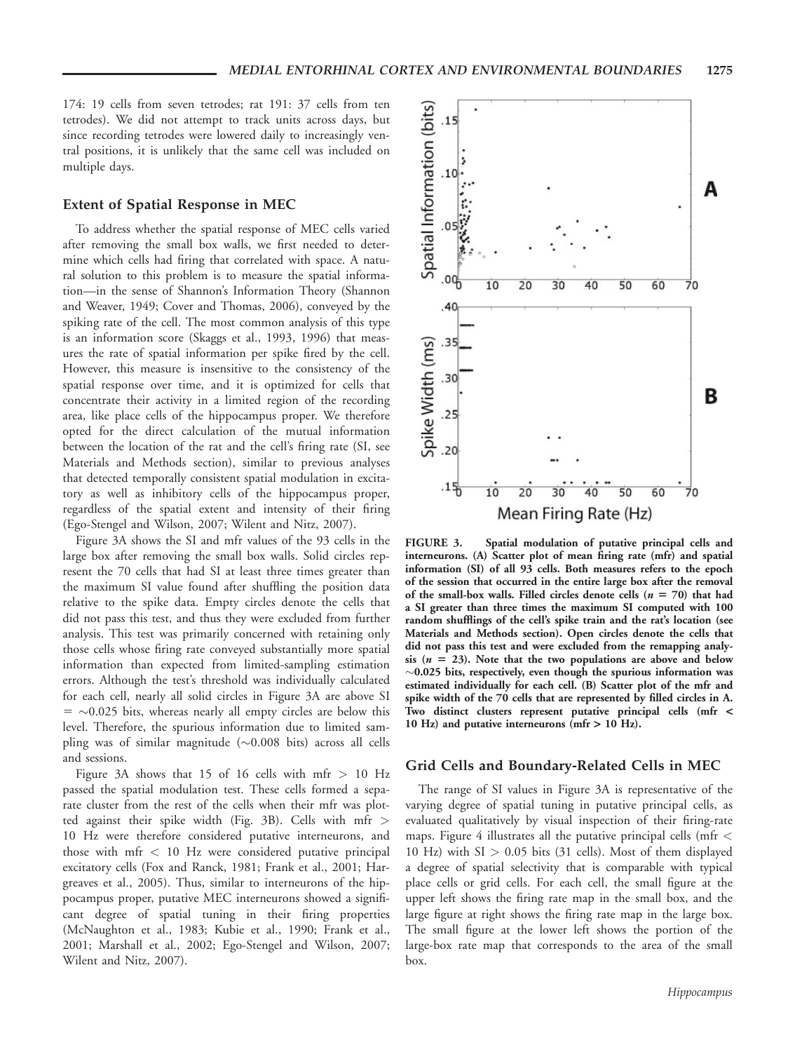174: 19 cells from seven tetrodes; rat 191: 37 cells from ten tetrodes). We did not attempt to track units across days, but since recording tetrodes were lowered daily to increasingly ventral positions, it is unlikely that the same cell was included on multiple days.

#### Extent of Spatial Response in MEC

To address whether the spatial response of MEC cells varied after removing the small box walls, we first needed to determine which cells had firing that correlated with space. A natural solution to this problem is to measure the spatial information—in the sense of Shannon's Information Theory (Shannon and Weaver, 1949; Cover and Thomas, 2006), conveyed by the spiking rate of the cell. The most common analysis of this type is an information score (Skaggs et al., 1993, 1996) that measures the rate of spatial information per spike fired by the cell. However, this measure is insensitive to the consistency of the spatial response over time, and it is optimized for cells that concentrate their activity in a limited region of the recording area, like place cells of the hippocampus proper. We therefore opted for the direct calculation of the mutual information between the location of the rat and the cell's firing rate (SI, see Materials and Methods section), similar to previous analyses that detected temporally consistent spatial modulation in excitatory as well as inhibitory cells of the hippocampus proper, regardless of the spatial extent and intensity of their firing (Ego-Stengel and Wilson, 2007; Wilent and Nitz, 2007).

Figure 3A shows the SI and mfr values of the 93 cells in the large box after removing the small box walls. Solid circles represent the 70 cells that had SI at least three times greater than the maximum SI value found after shuffling the position data relative to the spike data. Empty circles denote the cells that did not pass this test, and thus they were excluded from further analysis. This test was primarily concerned with retaining only those cells whose firing rate conveyed substantially more spatial information than expected from limited-sampling estimation errors. Although the test's threshold was individually calculated for each cell, nearly all solid circles in Figure 3A are above SI  $=$   $\sim$ 0.025 bits, whereas nearly all empty circles are below this level. Therefore, the spurious information due to limited sampling was of similar magnitude  $(\sim 0.008$  bits) across all cells and sessions.

Figure 3A shows that 15 of 16 cells with mfr  $> 10$  Hz passed the spatial modulation test. These cells formed a separate cluster from the rest of the cells when their mfr was plotted against their spike width (Fig. 3B). Cells with mfr > 10 Hz were therefore considered putative interneurons, and those with mfr < 10 Hz were considered putative principal excitatory cells (Fox and Ranck, 1981; Frank et al., 2001; Hargreaves et al., 2005). Thus, similar to interneurons of the hippocampus proper, putative MEC interneurons showed a significant degree of spatial tuning in their firing properties (McNaughton et al., 1983; Kubie et al., 1990; Frank et al., 2001; Marshall et al., 2002; Ego-Stengel and Wilson, 2007; Wilent and Nitz, 2007).



FIGURE 3. Spatial modulation of putative principal cells and interneurons. (A) Scatter plot of mean firing rate (mfr) and spatial information (SI) of all 93 cells. Both measures refers to the epoch of the session that occurred in the entire large box after the removal of the small-box walls. Filled circles denote cells  $(n = 70)$  that had a SI greater than three times the maximum SI computed with 100 random shufflings of the cell's spike train and the rat's location (see Materials and Methods section). Open circles denote the cells that did not pass this test and were excluded from the remapping analysis  $(n = 23)$ . Note that the two populations are above and below  $\sim$ 0.025 bits, respectively, even though the spurious information was estimated individually for each cell. (B) Scatter plot of the mfr and spike width of the 70 cells that are represented by filled circles in A. Two distinct clusters represent putative principal cells (mfr < 10 Hz) and putative interneurons (mfr > 10 Hz).

#### Grid Cells and Boundary-Related Cells in MEC

The range of SI values in Figure 3A is representative of the varying degree of spatial tuning in putative principal cells, as evaluated qualitatively by visual inspection of their firing-rate maps. Figure 4 illustrates all the putative principal cells (mfr  $\lt$ 10 Hz) with  $SI > 0.05$  bits (31 cells). Most of them displayed a degree of spatial selectivity that is comparable with typical place cells or grid cells. For each cell, the small figure at the upper left shows the firing rate map in the small box, and the large figure at right shows the firing rate map in the large box. The small figure at the lower left shows the portion of the large-box rate map that corresponds to the area of the small box.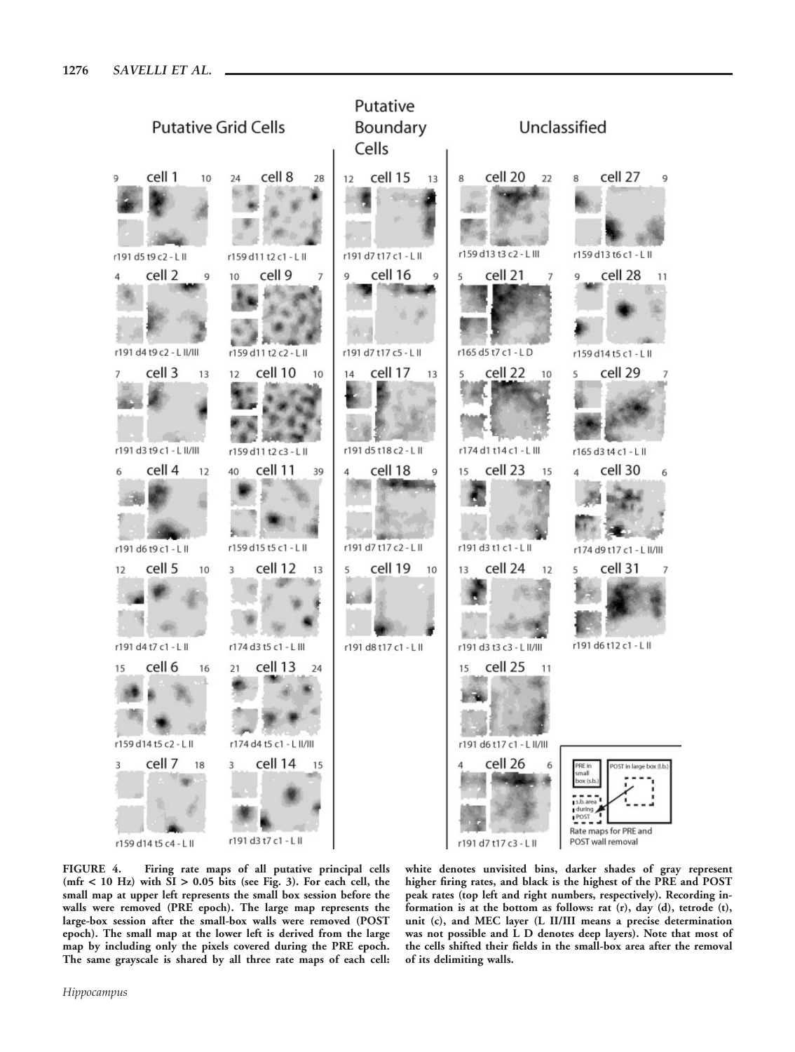

FIGURE 4. Firing rate maps of all putative principal cells (mfr < 10 Hz) with  $\overline{SI} > 0.05$  bits (see Fig. 3). For each cell, the small map at upper left represents the small box session before the walls were removed (PRE epoch). The large map represents the large-box session after the small-box walls were removed (POST epoch). The small map at the lower left is derived from the large map by including only the pixels covered during the PRE epoch. The same grayscale is shared by all three rate maps of each cell:

white denotes unvisited bins, darker shades of gray represent higher firing rates, and black is the highest of the PRE and POST peak rates (top left and right numbers, respectively). Recording information is at the bottom as follows: rat (r), day (d), tetrode (t), unit (c), and MEC layer (L II/III means a precise determination was not possible and L D denotes deep layers). Note that most of the cells shifted their fields in the small-box area after the removal of its delimiting walls.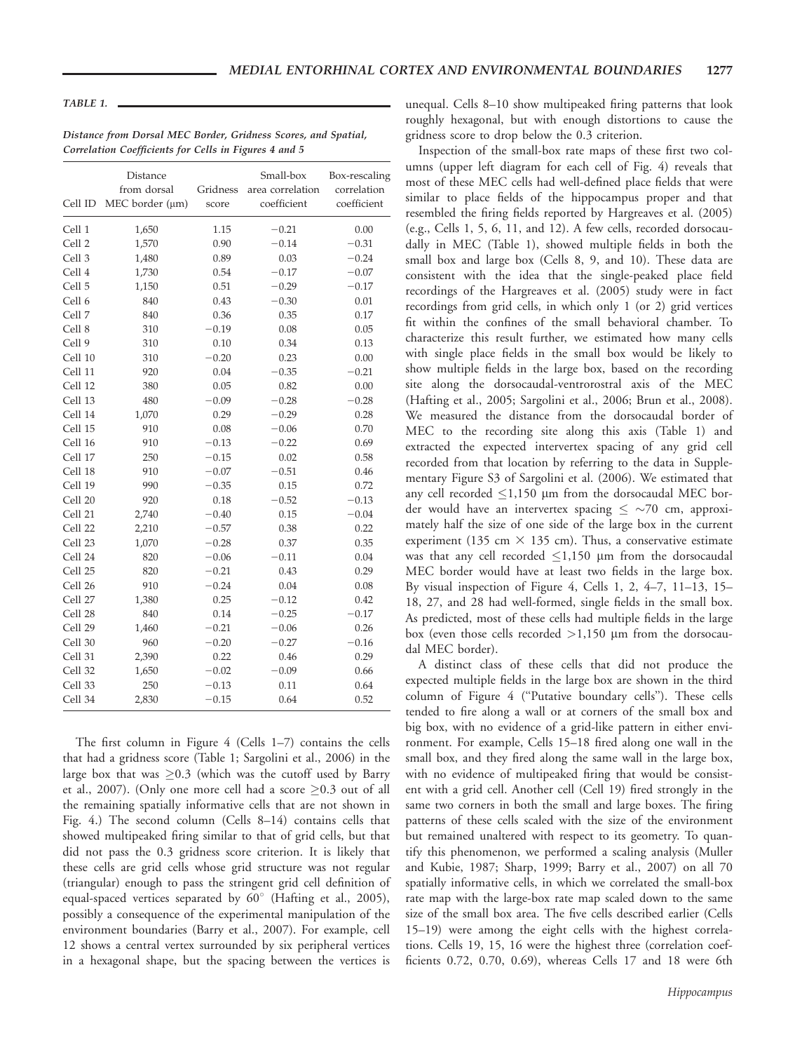TABLE 1.

| Cell ID           | Distance<br>from dorsal<br>MEC border (µm) | Gridness<br>score | Small-box<br>area correlation<br>coefficient | Box-rescaling<br>correlation<br>coefficient |
|-------------------|--------------------------------------------|-------------------|----------------------------------------------|---------------------------------------------|
| Cell 1            | 1,650                                      | 1.15              | $-0.21$                                      | 0.00                                        |
| Cell <sub>2</sub> | 1,570                                      | 0.90              | $-0.14$                                      | $-0.31$                                     |
| Cell <sub>3</sub> | 1,480                                      | 0.89              | 0.03                                         | $-0.24$                                     |
| Cell 4            | 1,730                                      | 0.54              | $-0.17$                                      | $-0.07$                                     |
| Cell <sub>5</sub> | 1,150                                      | 0.51              | $-0.29$                                      | $-0.17$                                     |
| Cell 6            | 840                                        | 0.43              | $-0.30$                                      | 0.01                                        |
| Cell 7            | 840                                        | 0.36              | 0.35                                         | 0.17                                        |
| Cell 8            | 310                                        | $-0.19$           | 0.08                                         | 0.05                                        |
| Cell 9            | 310                                        | 0.10              | 0.34                                         | 0.13                                        |
| Cell 10           | 310                                        | $-0.20$           | 0.23                                         | 0.00                                        |
| Cell 11           | 920                                        | 0.04              | $-0.35$                                      | $-0.21$                                     |
| Cell 12           | 380                                        | 0.05              | 0.82                                         | 0.00                                        |
| Cell 13           | 480                                        | $-0.09$           | $-0.28$                                      | $-0.28$                                     |
| Cell 14           | 1,070                                      | 0.29              | $-0.29$                                      | 0.28                                        |
| Cell 15           | 910                                        | 0.08              | $-0.06$                                      | 0.70                                        |
| Cell 16           | 910                                        | $-0.13$           | $-0.22$                                      | 0.69                                        |
| Cell 17           | 250                                        | $-0.15$           | 0.02                                         | 0.58                                        |
| Cell 18           | 910                                        | $-0.07$           | $-0.51$                                      | 0.46                                        |
| Cell 19           | 990                                        | $-0.35$           | 0.15                                         | 0.72                                        |
| Cell 20           | 920                                        | 0.18              | $-0.52$                                      | $-0.13$                                     |
| Cell 21           | 2,740                                      | $-0.40$           | 0.15                                         | $-0.04$                                     |
| Cell 22           | 2,210                                      | $-0.57$           | 0.38                                         | 0.22                                        |
| Cell 23           | 1,070                                      | $-0.28$           | 0.37                                         | 0.35                                        |
| Cell 24           | 820                                        | $-0.06$           | $-0.11$                                      | 0.04                                        |
| Cell 25           | 820                                        | $-0.21$           | 0.43                                         | 0.29                                        |
| Cell 26           | 910                                        | $-0.24$           | 0.04                                         | 0.08                                        |
| Cell 27           | 1,380                                      | 0.25              | $-0.12$                                      | 0.42                                        |
| Cell 28           | 840                                        | 0.14              | $-0.25$                                      | $-0.17$                                     |
| Cell 29           | 1,460                                      | $-0.21$           | $-0.06$                                      | 0.26                                        |
| Cell 30           | 960                                        | $-0.20$           | $-0.27$                                      | $-0.16$                                     |
| Cell 31           | 2,390                                      | 0.22              | 0.46                                         | 0.29                                        |
| Cell 32           | 1,650                                      | $-0.02$           | $-0.09$                                      | 0.66                                        |
| Cell 33           | 250                                        | $-0.13$           | 0.11                                         | 0.64                                        |
| Cell 34           | 2,830                                      | $-0.15$           | 0.64                                         | 0.52                                        |

Distance from Dorsal MEC Border, Gridness Scores, and Spatial, Correlation Coefficients for Cells in Figures 4 and 5

The first column in Figure 4 (Cells 1–7) contains the cells that had a gridness score (Table 1; Sargolini et al., 2006) in the large box that was  $\geq 0.3$  (which was the cutoff used by Barry et al., 2007). (Only one more cell had a score  $\geq$ 0.3 out of all the remaining spatially informative cells that are not shown in Fig. 4.) The second column (Cells 8–14) contains cells that showed multipeaked firing similar to that of grid cells, but that did not pass the 0.3 gridness score criterion. It is likely that these cells are grid cells whose grid structure was not regular (triangular) enough to pass the stringent grid cell definition of equal-spaced vertices separated by  $60^{\circ}$  (Hafting et al., 2005), possibly a consequence of the experimental manipulation of the environment boundaries (Barry et al., 2007). For example, cell 12 shows a central vertex surrounded by six peripheral vertices in a hexagonal shape, but the spacing between the vertices is unequal. Cells 8–10 show multipeaked firing patterns that look roughly hexagonal, but with enough distortions to cause the gridness score to drop below the 0.3 criterion.

Inspection of the small-box rate maps of these first two columns (upper left diagram for each cell of Fig. 4) reveals that most of these MEC cells had well-defined place fields that were similar to place fields of the hippocampus proper and that resembled the firing fields reported by Hargreaves et al. (2005) (e.g., Cells 1, 5, 6, 11, and 12). A few cells, recorded dorsocaudally in MEC (Table 1), showed multiple fields in both the small box and large box (Cells 8, 9, and 10). These data are consistent with the idea that the single-peaked place field recordings of the Hargreaves et al. (2005) study were in fact recordings from grid cells, in which only 1 (or 2) grid vertices fit within the confines of the small behavioral chamber. To characterize this result further, we estimated how many cells with single place fields in the small box would be likely to show multiple fields in the large box, based on the recording site along the dorsocaudal-ventrorostral axis of the MEC (Hafting et al., 2005; Sargolini et al., 2006; Brun et al., 2008). We measured the distance from the dorsocaudal border of MEC to the recording site along this axis (Table 1) and extracted the expected intervertex spacing of any grid cell recorded from that location by referring to the data in Supplementary Figure S3 of Sargolini et al. (2006). We estimated that any cell recorded  $\leq 1,150$  µm from the dorsocaudal MEC border would have an intervertex spacing  $\leq \sim$ 70 cm, approximately half the size of one side of the large box in the current experiment (135 cm  $\times$  135 cm). Thus, a conservative estimate was that any cell recorded  $\leq 1,150$  µm from the dorsocaudal MEC border would have at least two fields in the large box. By visual inspection of Figure 4, Cells 1, 2, 4–7, 11–13, 15– 18, 27, and 28 had well-formed, single fields in the small box. As predicted, most of these cells had multiple fields in the large box (even those cells recorded  $>1,150$  µm from the dorsocaudal MEC border).

A distinct class of these cells that did not produce the expected multiple fields in the large box are shown in the third column of Figure 4 (''Putative boundary cells''). These cells tended to fire along a wall or at corners of the small box and big box, with no evidence of a grid-like pattern in either environment. For example, Cells 15–18 fired along one wall in the small box, and they fired along the same wall in the large box, with no evidence of multipeaked firing that would be consistent with a grid cell. Another cell (Cell 19) fired strongly in the same two corners in both the small and large boxes. The firing patterns of these cells scaled with the size of the environment but remained unaltered with respect to its geometry. To quantify this phenomenon, we performed a scaling analysis (Muller and Kubie, 1987; Sharp, 1999; Barry et al., 2007) on all 70 spatially informative cells, in which we correlated the small-box rate map with the large-box rate map scaled down to the same size of the small box area. The five cells described earlier (Cells 15–19) were among the eight cells with the highest correlations. Cells 19, 15, 16 were the highest three (correlation coefficients 0.72, 0.70, 0.69), whereas Cells 17 and 18 were 6th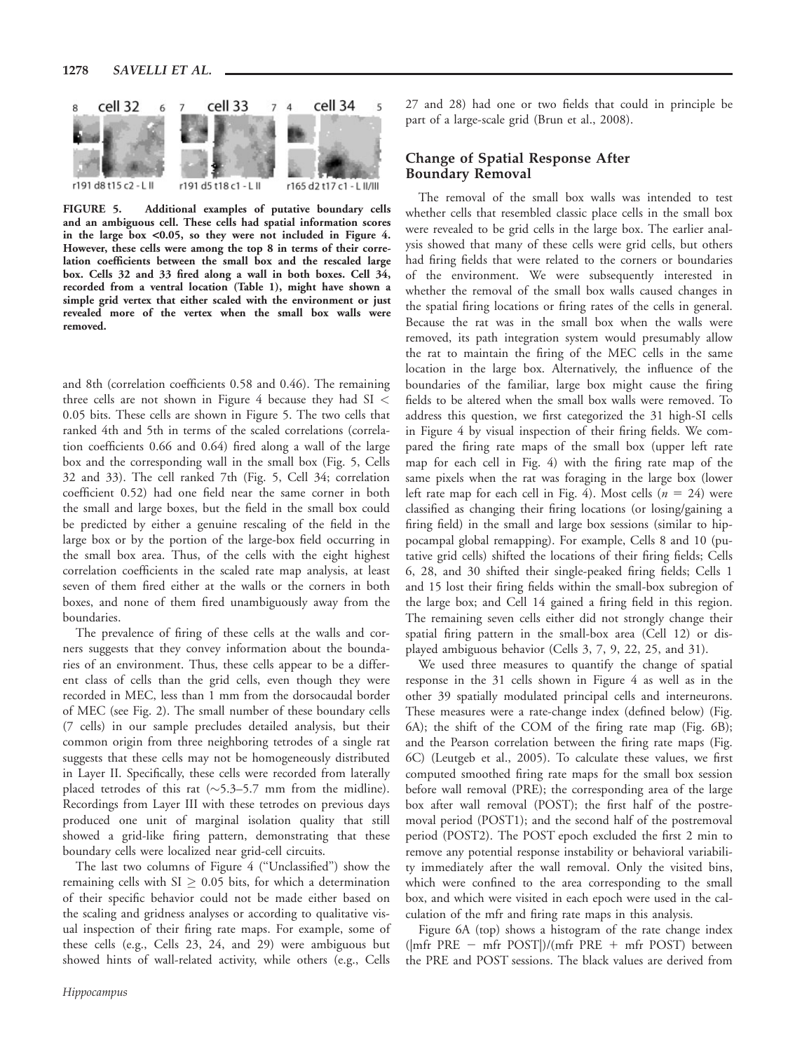

FIGURE 5. Additional examples of putative boundary cells and an ambiguous cell. These cells had spatial information scores in the large box <0.05, so they were not included in Figure 4. However, these cells were among the top 8 in terms of their correlation coefficients between the small box and the rescaled large box. Cells 32 and 33 fired along a wall in both boxes. Cell 34, recorded from a ventral location (Table 1), might have shown a simple grid vertex that either scaled with the environment or just revealed more of the vertex when the small box walls were removed.

and 8th (correlation coefficients 0.58 and 0.46). The remaining three cells are not shown in Figure 4 because they had  $SI <$ 0.05 bits. These cells are shown in Figure 5. The two cells that ranked 4th and 5th in terms of the scaled correlations (correlation coefficients 0.66 and 0.64) fired along a wall of the large box and the corresponding wall in the small box (Fig. 5, Cells 32 and 33). The cell ranked 7th (Fig. 5, Cell 34; correlation coefficient 0.52) had one field near the same corner in both the small and large boxes, but the field in the small box could be predicted by either a genuine rescaling of the field in the large box or by the portion of the large-box field occurring in the small box area. Thus, of the cells with the eight highest correlation coefficients in the scaled rate map analysis, at least seven of them fired either at the walls or the corners in both boxes, and none of them fired unambiguously away from the boundaries.

The prevalence of firing of these cells at the walls and corners suggests that they convey information about the boundaries of an environment. Thus, these cells appear to be a different class of cells than the grid cells, even though they were recorded in MEC, less than 1 mm from the dorsocaudal border of MEC (see Fig. 2). The small number of these boundary cells (7 cells) in our sample precludes detailed analysis, but their common origin from three neighboring tetrodes of a single rat suggests that these cells may not be homogeneously distributed in Layer II. Specifically, these cells were recorded from laterally placed tetrodes of this rat  $(\sim 5.3-5.7$  mm from the midline). Recordings from Layer III with these tetrodes on previous days produced one unit of marginal isolation quality that still showed a grid-like firing pattern, demonstrating that these boundary cells were localized near grid-cell circuits.

The last two columns of Figure 4 (''Unclassified'') show the remaining cells with  $SI \geq 0.05$  bits, for which a determination of their specific behavior could not be made either based on the scaling and gridness analyses or according to qualitative visual inspection of their firing rate maps. For example, some of these cells (e.g., Cells 23, 24, and 29) were ambiguous but showed hints of wall-related activity, while others (e.g., Cells

27 and 28) had one or two fields that could in principle be part of a large-scale grid (Brun et al., 2008).

## Change of Spatial Response After Boundary Removal

The removal of the small box walls was intended to test whether cells that resembled classic place cells in the small box were revealed to be grid cells in the large box. The earlier analysis showed that many of these cells were grid cells, but others had firing fields that were related to the corners or boundaries of the environment. We were subsequently interested in whether the removal of the small box walls caused changes in the spatial firing locations or firing rates of the cells in general. Because the rat was in the small box when the walls were removed, its path integration system would presumably allow the rat to maintain the firing of the MEC cells in the same location in the large box. Alternatively, the influence of the boundaries of the familiar, large box might cause the firing fields to be altered when the small box walls were removed. To address this question, we first categorized the 31 high-SI cells in Figure 4 by visual inspection of their firing fields. We compared the firing rate maps of the small box (upper left rate map for each cell in Fig. 4) with the firing rate map of the same pixels when the rat was foraging in the large box (lower left rate map for each cell in Fig. 4). Most cells ( $n = 24$ ) were classified as changing their firing locations (or losing/gaining a firing field) in the small and large box sessions (similar to hippocampal global remapping). For example, Cells 8 and 10 (putative grid cells) shifted the locations of their firing fields; Cells 6, 28, and 30 shifted their single-peaked firing fields; Cells 1 and 15 lost their firing fields within the small-box subregion of the large box; and Cell 14 gained a firing field in this region. The remaining seven cells either did not strongly change their spatial firing pattern in the small-box area (Cell 12) or displayed ambiguous behavior (Cells 3, 7, 9, 22, 25, and 31).

We used three measures to quantify the change of spatial response in the 31 cells shown in Figure 4 as well as in the other 39 spatially modulated principal cells and interneurons. These measures were a rate-change index (defined below) (Fig. 6A); the shift of the COM of the firing rate map (Fig. 6B); and the Pearson correlation between the firing rate maps (Fig. 6C) (Leutgeb et al., 2005). To calculate these values, we first computed smoothed firing rate maps for the small box session before wall removal (PRE); the corresponding area of the large box after wall removal (POST); the first half of the postremoval period (POST1); and the second half of the postremoval period (POST2). The POST epoch excluded the first 2 min to remove any potential response instability or behavioral variability immediately after the wall removal. Only the visited bins, which were confined to the area corresponding to the small box, and which were visited in each epoch were used in the calculation of the mfr and firing rate maps in this analysis.

Figure 6A (top) shows a histogram of the rate change index ( $\vert \text{mfr}$  PRE - mfr POST $\vert$ )/( $\text{mfr}$  PRE + mfr POST) between the PRE and POST sessions. The black values are derived from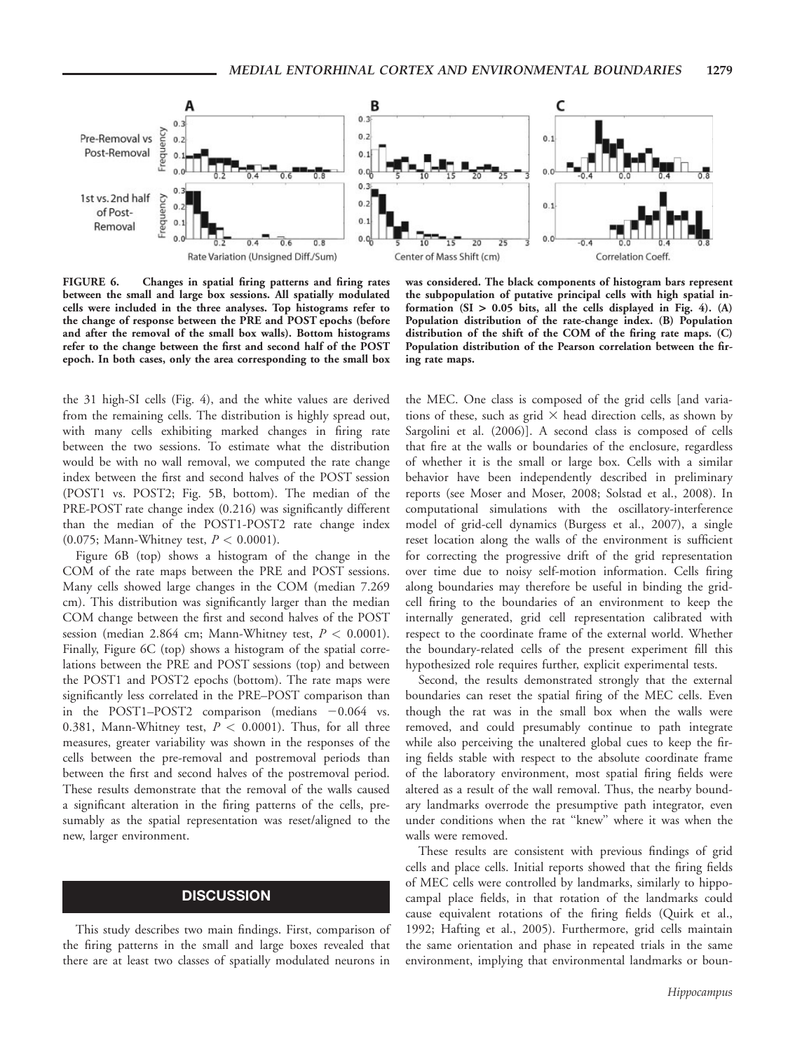

FIGURE 6. Changes in spatial firing patterns and firing rates between the small and large box sessions. All spatially modulated cells were included in the three analyses. Top histograms refer to the change of response between the PRE and POST epochs (before and after the removal of the small box walls). Bottom histograms refer to the change between the first and second half of the POST epoch. In both cases, only the area corresponding to the small box

was considered. The black components of histogram bars represent the subpopulation of putative principal cells with high spatial information  $(SI > 0.05$  bits, all the cells displayed in Fig. 4).  $(A)$ Population distribution of the rate-change index. (B) Population distribution of the shift of the COM of the firing rate maps. (C) Population distribution of the Pearson correlation between the firing rate maps.

the 31 high-SI cells (Fig. 4), and the white values are derived from the remaining cells. The distribution is highly spread out, with many cells exhibiting marked changes in firing rate between the two sessions. To estimate what the distribution would be with no wall removal, we computed the rate change index between the first and second halves of the POST session (POST1 vs. POST2; Fig. 5B, bottom). The median of the PRE-POST rate change index (0.216) was significantly different than the median of the POST1-POST2 rate change index  $(0.075;$  Mann-Whitney test,  $P < 0.0001$ ).

Figure 6B (top) shows a histogram of the change in the COM of the rate maps between the PRE and POST sessions. Many cells showed large changes in the COM (median 7.269 cm). This distribution was significantly larger than the median COM change between the first and second halves of the POST session (median 2.864 cm; Mann-Whitney test,  $P < 0.0001$ ). Finally, Figure 6C (top) shows a histogram of the spatial correlations between the PRE and POST sessions (top) and between the POST1 and POST2 epochs (bottom). The rate maps were significantly less correlated in the PRE–POST comparison than in the POST1–POST2 comparison (medians  $-0.064$  vs. 0.381, Mann-Whitney test,  $P < 0.0001$ ). Thus, for all three measures, greater variability was shown in the responses of the cells between the pre-removal and postremoval periods than between the first and second halves of the postremoval period. These results demonstrate that the removal of the walls caused a significant alteration in the firing patterns of the cells, presumably as the spatial representation was reset/aligned to the new, larger environment.

## **DISCUSSION**

This study describes two main findings. First, comparison of the firing patterns in the small and large boxes revealed that there are at least two classes of spatially modulated neurons in the MEC. One class is composed of the grid cells [and variations of these, such as grid  $\times$  head direction cells, as shown by Sargolini et al. (2006)]. A second class is composed of cells that fire at the walls or boundaries of the enclosure, regardless of whether it is the small or large box. Cells with a similar behavior have been independently described in preliminary reports (see Moser and Moser, 2008; Solstad et al., 2008). In computational simulations with the oscillatory-interference model of grid-cell dynamics (Burgess et al., 2007), a single reset location along the walls of the environment is sufficient for correcting the progressive drift of the grid representation over time due to noisy self-motion information. Cells firing along boundaries may therefore be useful in binding the gridcell firing to the boundaries of an environment to keep the internally generated, grid cell representation calibrated with respect to the coordinate frame of the external world. Whether the boundary-related cells of the present experiment fill this hypothesized role requires further, explicit experimental tests.

Second, the results demonstrated strongly that the external boundaries can reset the spatial firing of the MEC cells. Even though the rat was in the small box when the walls were removed, and could presumably continue to path integrate while also perceiving the unaltered global cues to keep the firing fields stable with respect to the absolute coordinate frame of the laboratory environment, most spatial firing fields were altered as a result of the wall removal. Thus, the nearby boundary landmarks overrode the presumptive path integrator, even under conditions when the rat ''knew'' where it was when the walls were removed.

These results are consistent with previous findings of grid cells and place cells. Initial reports showed that the firing fields of MEC cells were controlled by landmarks, similarly to hippocampal place fields, in that rotation of the landmarks could cause equivalent rotations of the firing fields (Quirk et al., 1992; Hafting et al., 2005). Furthermore, grid cells maintain the same orientation and phase in repeated trials in the same environment, implying that environmental landmarks or boun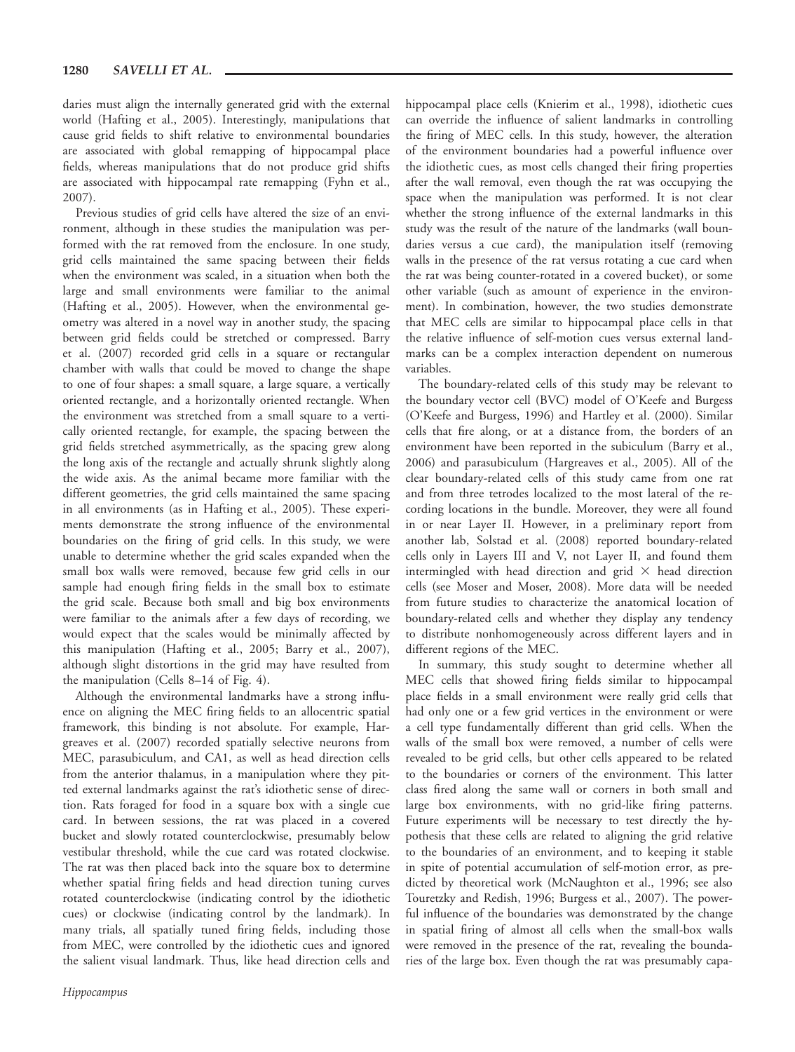daries must align the internally generated grid with the external world (Hafting et al., 2005). Interestingly, manipulations that cause grid fields to shift relative to environmental boundaries are associated with global remapping of hippocampal place fields, whereas manipulations that do not produce grid shifts are associated with hippocampal rate remapping (Fyhn et al., 2007).

Previous studies of grid cells have altered the size of an environment, although in these studies the manipulation was performed with the rat removed from the enclosure. In one study, grid cells maintained the same spacing between their fields when the environment was scaled, in a situation when both the large and small environments were familiar to the animal (Hafting et al., 2005). However, when the environmental geometry was altered in a novel way in another study, the spacing between grid fields could be stretched or compressed. Barry et al. (2007) recorded grid cells in a square or rectangular chamber with walls that could be moved to change the shape to one of four shapes: a small square, a large square, a vertically oriented rectangle, and a horizontally oriented rectangle. When the environment was stretched from a small square to a vertically oriented rectangle, for example, the spacing between the grid fields stretched asymmetrically, as the spacing grew along the long axis of the rectangle and actually shrunk slightly along the wide axis. As the animal became more familiar with the different geometries, the grid cells maintained the same spacing in all environments (as in Hafting et al., 2005). These experiments demonstrate the strong influence of the environmental boundaries on the firing of grid cells. In this study, we were unable to determine whether the grid scales expanded when the small box walls were removed, because few grid cells in our sample had enough firing fields in the small box to estimate the grid scale. Because both small and big box environments were familiar to the animals after a few days of recording, we would expect that the scales would be minimally affected by this manipulation (Hafting et al., 2005; Barry et al., 2007), although slight distortions in the grid may have resulted from the manipulation (Cells 8–14 of Fig. 4).

Although the environmental landmarks have a strong influence on aligning the MEC firing fields to an allocentric spatial framework, this binding is not absolute. For example, Hargreaves et al. (2007) recorded spatially selective neurons from MEC, parasubiculum, and CA1, as well as head direction cells from the anterior thalamus, in a manipulation where they pitted external landmarks against the rat's idiothetic sense of direction. Rats foraged for food in a square box with a single cue card. In between sessions, the rat was placed in a covered bucket and slowly rotated counterclockwise, presumably below vestibular threshold, while the cue card was rotated clockwise. The rat was then placed back into the square box to determine whether spatial firing fields and head direction tuning curves rotated counterclockwise (indicating control by the idiothetic cues) or clockwise (indicating control by the landmark). In many trials, all spatially tuned firing fields, including those from MEC, were controlled by the idiothetic cues and ignored the salient visual landmark. Thus, like head direction cells and

hippocampal place cells (Knierim et al., 1998), idiothetic cues can override the influence of salient landmarks in controlling the firing of MEC cells. In this study, however, the alteration of the environment boundaries had a powerful influence over the idiothetic cues, as most cells changed their firing properties after the wall removal, even though the rat was occupying the space when the manipulation was performed. It is not clear whether the strong influence of the external landmarks in this study was the result of the nature of the landmarks (wall boundaries versus a cue card), the manipulation itself (removing walls in the presence of the rat versus rotating a cue card when the rat was being counter-rotated in a covered bucket), or some other variable (such as amount of experience in the environment). In combination, however, the two studies demonstrate that MEC cells are similar to hippocampal place cells in that the relative influence of self-motion cues versus external landmarks can be a complex interaction dependent on numerous variables.

The boundary-related cells of this study may be relevant to the boundary vector cell (BVC) model of O'Keefe and Burgess (O'Keefe and Burgess, 1996) and Hartley et al. (2000). Similar cells that fire along, or at a distance from, the borders of an environment have been reported in the subiculum (Barry et al., 2006) and parasubiculum (Hargreaves et al., 2005). All of the clear boundary-related cells of this study came from one rat and from three tetrodes localized to the most lateral of the recording locations in the bundle. Moreover, they were all found in or near Layer II. However, in a preliminary report from another lab, Solstad et al. (2008) reported boundary-related cells only in Layers III and V, not Layer II, and found them intermingled with head direction and grid  $\times$  head direction cells (see Moser and Moser, 2008). More data will be needed from future studies to characterize the anatomical location of boundary-related cells and whether they display any tendency to distribute nonhomogeneously across different layers and in different regions of the MEC.

In summary, this study sought to determine whether all MEC cells that showed firing fields similar to hippocampal place fields in a small environment were really grid cells that had only one or a few grid vertices in the environment or were a cell type fundamentally different than grid cells. When the walls of the small box were removed, a number of cells were revealed to be grid cells, but other cells appeared to be related to the boundaries or corners of the environment. This latter class fired along the same wall or corners in both small and large box environments, with no grid-like firing patterns. Future experiments will be necessary to test directly the hypothesis that these cells are related to aligning the grid relative to the boundaries of an environment, and to keeping it stable in spite of potential accumulation of self-motion error, as predicted by theoretical work (McNaughton et al., 1996; see also Touretzky and Redish, 1996; Burgess et al., 2007). The powerful influence of the boundaries was demonstrated by the change in spatial firing of almost all cells when the small-box walls were removed in the presence of the rat, revealing the boundaries of the large box. Even though the rat was presumably capa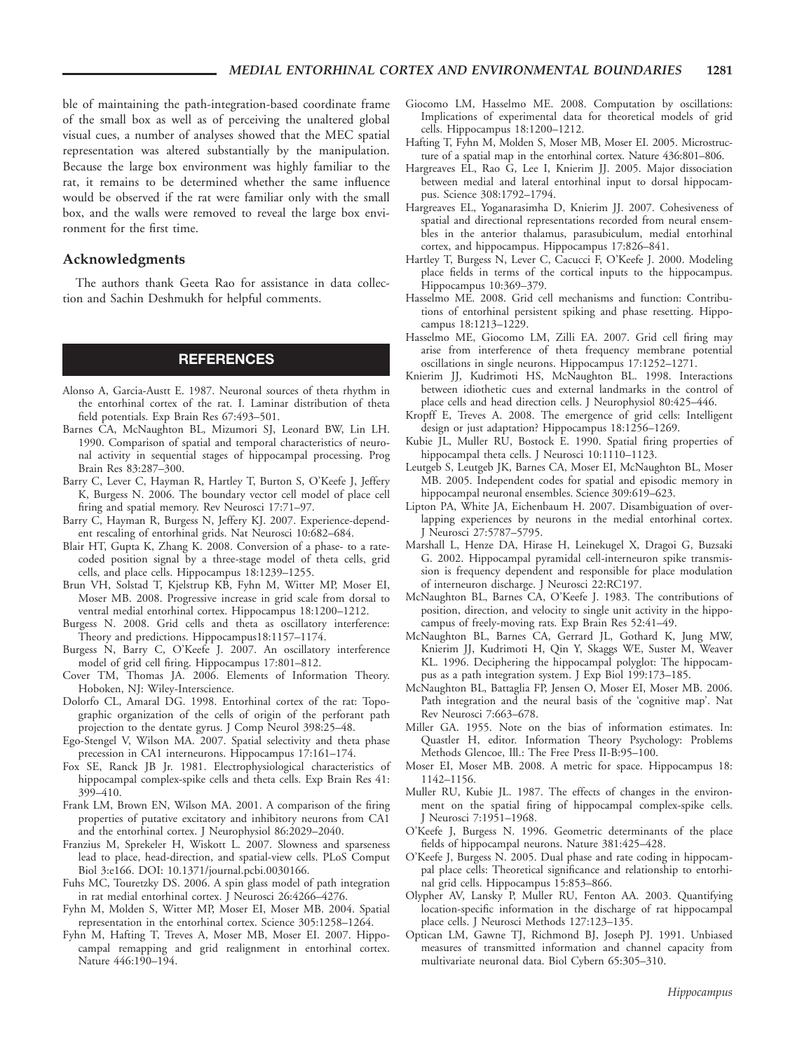ble of maintaining the path-integration-based coordinate frame of the small box as well as of perceiving the unaltered global visual cues, a number of analyses showed that the MEC spatial representation was altered substantially by the manipulation. Because the large box environment was highly familiar to the rat, it remains to be determined whether the same influence would be observed if the rat were familiar only with the small box, and the walls were removed to reveal the large box environment for the first time.

#### Acknowledgments

The authors thank Geeta Rao for assistance in data collection and Sachin Deshmukh for helpful comments.

## **REFERENCES**

- Alonso A, Garcia-Austt E. 1987. Neuronal sources of theta rhythm in the entorhinal cortex of the rat. I. Laminar distribution of theta field potentials. Exp Brain Res 67:493–501.
- Barnes CA, McNaughton BL, Mizumori SJ, Leonard BW, Lin LH. 1990. Comparison of spatial and temporal characteristics of neuronal activity in sequential stages of hippocampal processing. Prog Brain Res 83:287–300.
- Barry C, Lever C, Hayman R, Hartley T, Burton S, O'Keefe J, Jeffery K, Burgess N. 2006. The boundary vector cell model of place cell firing and spatial memory. Rev Neurosci 17:71–97.
- Barry C, Hayman R, Burgess N, Jeffery KJ. 2007. Experience-dependent rescaling of entorhinal grids. Nat Neurosci 10:682–684.
- Blair HT, Gupta K, Zhang K. 2008. Conversion of a phase- to a ratecoded position signal by a three-stage model of theta cells, grid cells, and place cells. Hippocampus 18:1239–1255.
- Brun VH, Solstad T, Kjelstrup KB, Fyhn M, Witter MP, Moser EI, Moser MB. 2008. Progressive increase in grid scale from dorsal to ventral medial entorhinal cortex. Hippocampus 18:1200–1212.
- Burgess N. 2008. Grid cells and theta as oscillatory interference: Theory and predictions. Hippocampus18:1157–1174.
- Burgess N, Barry C, O'Keefe J. 2007. An oscillatory interference model of grid cell firing. Hippocampus 17:801–812.
- Cover TM, Thomas JA. 2006. Elements of Information Theory. Hoboken, NJ: Wiley-Interscience.
- Dolorfo CL, Amaral DG. 1998. Entorhinal cortex of the rat: Topographic organization of the cells of origin of the perforant path projection to the dentate gyrus. J Comp Neurol 398:25–48.
- Ego-Stengel V, Wilson MA. 2007. Spatial selectivity and theta phase precession in CA1 interneurons. Hippocampus 17:161–174.
- Fox SE, Ranck JB Jr. 1981. Electrophysiological characteristics of hippocampal complex-spike cells and theta cells. Exp Brain Res 41: 399–410.
- Frank LM, Brown EN, Wilson MA. 2001. A comparison of the firing properties of putative excitatory and inhibitory neurons from CA1 and the entorhinal cortex. J Neurophysiol 86:2029–2040.
- Franzius M, Sprekeler H, Wiskott L. 2007. Slowness and sparseness lead to place, head-direction, and spatial-view cells. PLoS Comput Biol 3:e166. DOI: 10.1371/journal.pcbi.0030166.
- Fuhs MC, Touretzky DS. 2006. A spin glass model of path integration in rat medial entorhinal cortex. J Neurosci 26:4266–4276.
- Fyhn M, Molden S, Witter MP, Moser EI, Moser MB. 2004. Spatial representation in the entorhinal cortex. Science 305:1258–1264.
- Fyhn M, Hafting T, Treves A, Moser MB, Moser EI. 2007. Hippocampal remapping and grid realignment in entorhinal cortex. Nature 446:190–194.
- Giocomo LM, Hasselmo ME. 2008. Computation by oscillations: Implications of experimental data for theoretical models of grid cells. Hippocampus 18:1200–1212.
- Hafting T, Fyhn M, Molden S, Moser MB, Moser EI. 2005. Microstructure of a spatial map in the entorhinal cortex. Nature 436:801–806.
- Hargreaves EL, Rao G, Lee I, Knierim JJ. 2005. Major dissociation between medial and lateral entorhinal input to dorsal hippocampus. Science 308:1792–1794.
- Hargreaves EL, Yoganarasimha D, Knierim JJ. 2007. Cohesiveness of spatial and directional representations recorded from neural ensembles in the anterior thalamus, parasubiculum, medial entorhinal cortex, and hippocampus. Hippocampus 17:826–841.
- Hartley T, Burgess N, Lever C, Cacucci F, O'Keefe J. 2000. Modeling place fields in terms of the cortical inputs to the hippocampus. Hippocampus 10:369–379.
- Hasselmo ME. 2008. Grid cell mechanisms and function: Contributions of entorhinal persistent spiking and phase resetting. Hippocampus 18:1213–1229.
- Hasselmo ME, Giocomo LM, Zilli EA. 2007. Grid cell firing may arise from interference of theta frequency membrane potential oscillations in single neurons. Hippocampus 17:1252–1271.
- Knierim JJ, Kudrimoti HS, McNaughton BL. 1998. Interactions between idiothetic cues and external landmarks in the control of place cells and head direction cells. J Neurophysiol 80:425–446.
- Kropff E, Treves A. 2008. The emergence of grid cells: Intelligent design or just adaptation? Hippocampus 18:1256–1269.
- Kubie JL, Muller RU, Bostock E. 1990. Spatial firing properties of hippocampal theta cells. J Neurosci 10:1110-1123.
- Leutgeb S, Leutgeb JK, Barnes CA, Moser EI, McNaughton BL, Moser MB. 2005. Independent codes for spatial and episodic memory in hippocampal neuronal ensembles. Science 309:619–623.
- Lipton PA, White JA, Eichenbaum H. 2007. Disambiguation of overlapping experiences by neurons in the medial entorhinal cortex. J Neurosci 27:5787–5795.
- Marshall L, Henze DA, Hirase H, Leinekugel X, Dragoi G, Buzsaki G. 2002. Hippocampal pyramidal cell-interneuron spike transmission is frequency dependent and responsible for place modulation of interneuron discharge. J Neurosci 22:RC197.
- McNaughton BL, Barnes CA, O'Keefe J. 1983. The contributions of position, direction, and velocity to single unit activity in the hippocampus of freely-moving rats. Exp Brain Res 52:41–49.
- McNaughton BL, Barnes CA, Gerrard JL, Gothard K, Jung MW, Knierim JJ, Kudrimoti H, Qin Y, Skaggs WE, Suster M, Weaver KL. 1996. Deciphering the hippocampal polyglot: The hippocampus as a path integration system. J Exp Biol 199:173–185.
- McNaughton BL, Battaglia FP, Jensen O, Moser EI, Moser MB. 2006. Path integration and the neural basis of the 'cognitive map'. Nat Rev Neurosci 7:663–678.
- Miller GA. 1955. Note on the bias of information estimates. In: Quastler H, editor. Information Theory Psychology: Problems Methods Glencoe, Ill.: The Free Press II-B:95–100.
- Moser EI, Moser MB. 2008. A metric for space. Hippocampus 18: 1142–1156.
- Muller RU, Kubie JL. 1987. The effects of changes in the environment on the spatial firing of hippocampal complex-spike cells. J Neurosci 7:1951–1968.
- O'Keefe J, Burgess N. 1996. Geometric determinants of the place fields of hippocampal neurons. Nature 381:425–428.
- O'Keefe J, Burgess N. 2005. Dual phase and rate coding in hippocampal place cells: Theoretical significance and relationship to entorhinal grid cells. Hippocampus 15:853–866.
- Olypher AV, Lansky P, Muller RU, Fenton AA. 2003. Quantifying location-specific information in the discharge of rat hippocampal place cells. J Neurosci Methods 127:123–135.
- Optican LM, Gawne TJ, Richmond BJ, Joseph PJ. 1991. Unbiased measures of transmitted information and channel capacity from multivariate neuronal data. Biol Cybern 65:305–310.